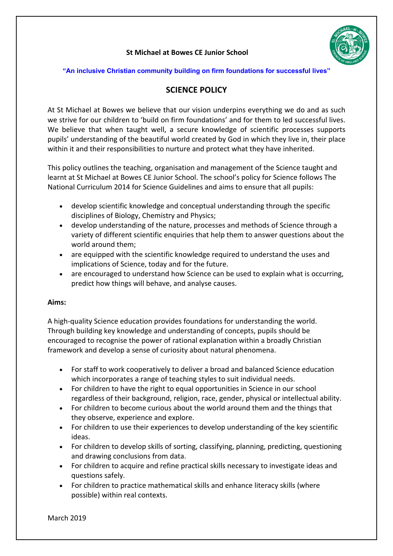# **St Michael at Bowes CE Junior School**



#### **"An inclusive Christian community building on firm foundations for successful lives"**

# **SCIENCE POLICY**

At St Michael at Bowes we believe that our vision underpins everything we do and as such we strive for our children to 'build on firm foundations' and for them to led successful lives. We believe that when taught well, a secure knowledge of scientific processes supports pupils' understanding of the beautiful world created by God in which they live in, their place within it and their responsibilities to nurture and protect what they have inherited.

This policy outlines the teaching, organisation and management of the Science taught and learnt at St Michael at Bowes CE Junior School. The school's policy for Science follows The National Curriculum 2014 for Science Guidelines and aims to ensure that all pupils:

- develop scientific knowledge and conceptual understanding through the specific disciplines of Biology, Chemistry and Physics;
- develop understanding of the nature, processes and methods of Science through a variety of different scientific enquiries that help them to answer questions about the world around them;
- are equipped with the scientific knowledge required to understand the uses and implications of Science, today and for the future.
- are encouraged to understand how Science can be used to explain what is occurring, predict how things will behave, and analyse causes.

#### **Aims:**

A high-quality Science education provides foundations for understanding the world. Through building key knowledge and understanding of concepts, pupils should be encouraged to recognise the power of rational explanation within a broadly Christian framework and develop a sense of curiosity about natural phenomena.

- For staff to work cooperatively to deliver a broad and balanced Science education which incorporates a range of teaching styles to suit individual needs.
- For children to have the right to equal opportunities in Science in our school regardless of their background, religion, race, gender, physical or intellectual ability.
- For children to become curious about the world around them and the things that they observe, experience and explore.
- For children to use their experiences to develop understanding of the key scientific ideas.
- For children to develop skills of sorting, classifying, planning, predicting, questioning and drawing conclusions from data.
- For children to acquire and refine practical skills necessary to investigate ideas and questions safely.
- For children to practice mathematical skills and enhance literacy skills (where possible) within real contexts.

March 2019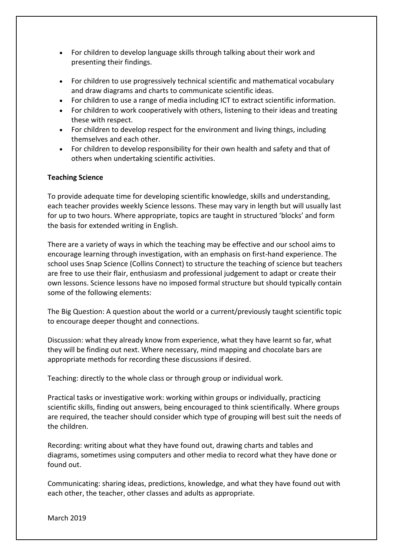- For children to develop language skills through talking about their work and presenting their findings.
- For children to use progressively technical scientific and mathematical vocabulary and draw diagrams and charts to communicate scientific ideas.
- For children to use a range of media including ICT to extract scientific information.
- For children to work cooperatively with others, listening to their ideas and treating these with respect.
- For children to develop respect for the environment and living things, including themselves and each other.
- For children to develop responsibility for their own health and safety and that of others when undertaking scientific activities.

## **Teaching Science**

To provide adequate time for developing scientific knowledge, skills and understanding, each teacher provides weekly Science lessons. These may vary in length but will usually last for up to two hours. Where appropriate, topics are taught in structured 'blocks' and form the basis for extended writing in English.

There are a variety of ways in which the teaching may be effective and our school aims to encourage learning through investigation, with an emphasis on first-hand experience. The school uses Snap Science (Collins Connect) to structure the teaching of science but teachers are free to use their flair, enthusiasm and professional judgement to adapt or create their own lessons. Science lessons have no imposed formal structure but should typically contain some of the following elements:

The Big Question: A question about the world or a current/previously taught scientific topic to encourage deeper thought and connections.

Discussion: what they already know from experience, what they have learnt so far, what they will be finding out next. Where necessary, mind mapping and chocolate bars are appropriate methods for recording these discussions if desired.

Teaching: directly to the whole class or through group or individual work.

Practical tasks or investigative work: working within groups or individually, practicing scientific skills, finding out answers, being encouraged to think scientifically. Where groups are required, the teacher should consider which type of grouping will best suit the needs of the children.

Recording: writing about what they have found out, drawing charts and tables and diagrams, sometimes using computers and other media to record what they have done or found out.

Communicating: sharing ideas, predictions, knowledge, and what they have found out with each other, the teacher, other classes and adults as appropriate.

March 2019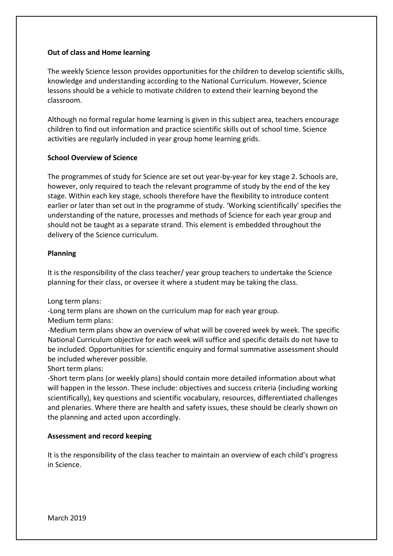## **Out of class and Home learning**

The weekly Science lesson provides opportunities for the children to develop scientific skills, knowledge and understanding according to the National Curriculum. However, Science lessons should be a vehicle to motivate children to extend their learning beyond the classroom.

Although no formal regular home learning is given in this subject area, teachers encourage children to find out information and practice scientific skills out of school time. Science activities are regularly included in year group home learning grids.

## **School Overview of Science**

The programmes of study for Science are set out year-by-year for key stage 2. Schools are, however, only required to teach the relevant programme of study by the end of the key stage. Within each key stage, schools therefore have the flexibility to introduce content earlier or later than set out in the programme of study. 'Working scientifically' specifies the understanding of the nature, processes and methods of Science for each year group and should not be taught as a separate strand. This element is embedded throughout the delivery of the Science curriculum.

#### **Planning**

It is the responsibility of the class teacher/ year group teachers to undertake the Science planning for their class, or oversee it where a student may be taking the class.

Long term plans:

-Long term plans are shown on the curriculum map for each year group.

Medium term plans:

-Medium term plans show an overview of what will be covered week by week. The specific National Curriculum objective for each week will suffice and specific details do not have to be included. Opportunities for scientific enquiry and formal summative assessment should be included wherever possible.

Short term plans:

-Short term plans (or weekly plans) should contain more detailed information about what will happen in the lesson. These include: objectives and success criteria (including working scientifically), key questions and scientific vocabulary, resources, differentiated challenges and plenaries. Where there are health and safety issues, these should be clearly shown on the planning and acted upon accordingly.

# **Assessment and record keeping**

It is the responsibility of the class teacher to maintain an overview of each child's progress in Science.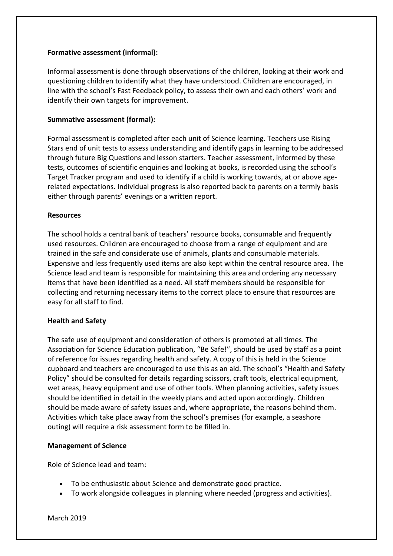## **Formative assessment (informal):**

Informal assessment is done through observations of the children, looking at their work and questioning children to identify what they have understood. Children are encouraged, in line with the school's Fast Feedback policy, to assess their own and each others' work and identify their own targets for improvement.

## **Summative assessment (formal):**

Formal assessment is completed after each unit of Science learning. Teachers use Rising Stars end of unit tests to assess understanding and identify gaps in learning to be addressed through future Big Questions and lesson starters. Teacher assessment, informed by these tests, outcomes of scientific enquiries and looking at books, is recorded using the school's Target Tracker program and used to identify if a child is working towards, at or above agerelated expectations. Individual progress is also reported back to parents on a termly basis either through parents' evenings or a written report.

## **Resources**

The school holds a central bank of teachers' resource books, consumable and frequently used resources. Children are encouraged to choose from a range of equipment and are trained in the safe and considerate use of animals, plants and consumable materials. Expensive and less frequently used items are also kept within the central resource area. The Science lead and team is responsible for maintaining this area and ordering any necessary items that have been identified as a need. All staff members should be responsible for collecting and returning necessary items to the correct place to ensure that resources are easy for all staff to find.

# **Health and Safety**

The safe use of equipment and consideration of others is promoted at all times. The Association for Science Education publication, "Be Safe!", should be used by staff as a point of reference for issues regarding health and safety. A copy of this is held in the Science cupboard and teachers are encouraged to use this as an aid. The school's "Health and Safety Policy" should be consulted for details regarding scissors, craft tools, electrical equipment, wet areas, heavy equipment and use of other tools. When planning activities, safety issues should be identified in detail in the weekly plans and acted upon accordingly. Children should be made aware of safety issues and, where appropriate, the reasons behind them. Activities which take place away from the school's premises (for example, a seashore outing) will require a risk assessment form to be filled in.

#### **Management of Science**

Role of Science lead and team:

- To be enthusiastic about Science and demonstrate good practice.
- To work alongside colleagues in planning where needed (progress and activities).